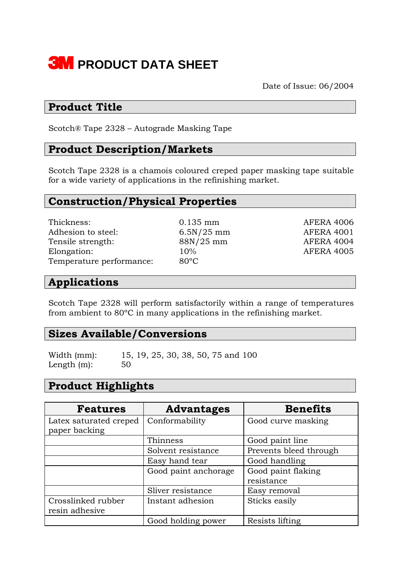

Date of Issue: 06/2004

## **Product Title**

Scotch® Tape 2328 – Autograde Masking Tape

## **Product Description/Markets**

Scotch Tape 2328 is a chamois coloured creped paper masking tape suitable for a wide variety of applications in the refinishing market.

# **Construction/Physical Properties**

Thickness: 0.135 mm AFERA 4006 Adhesion to steel: 6.5N/25 mm AFERA 4001 Tensile strength: 88N/25 mm AFERA 4004 Elongation: 10% AFERA 4005 Temperature performance: 80ºC

#### **Applications**

Scotch Tape 2328 will perform satisfactorily within a range of temperatures from ambient to 80ºC in many applications in the refinishing market.

#### **Sizes Available/Conversions**

Width (mm): 15, 19, 25, 30, 38, 50, 75 and 100 Length  $(m)$ : 50

# **Product Highlights**

| <b>Features</b>        | <b>Advantages</b>    | <b>Benefits</b>        |
|------------------------|----------------------|------------------------|
| Latex saturated creped | Conformability       | Good curve masking     |
| paper backing          |                      |                        |
|                        | Thinness             | Good paint line        |
|                        | Solvent resistance   | Prevents bleed through |
|                        | Easy hand tear       | Good handling          |
|                        | Good paint anchorage | Good paint flaking     |
|                        |                      | resistance             |
|                        | Sliver resistance    | Easy removal           |
| Crosslinked rubber     | Instant adhesion     | Sticks easily          |
| resin adhesive         |                      |                        |
|                        | Good holding power   | Resists lifting        |